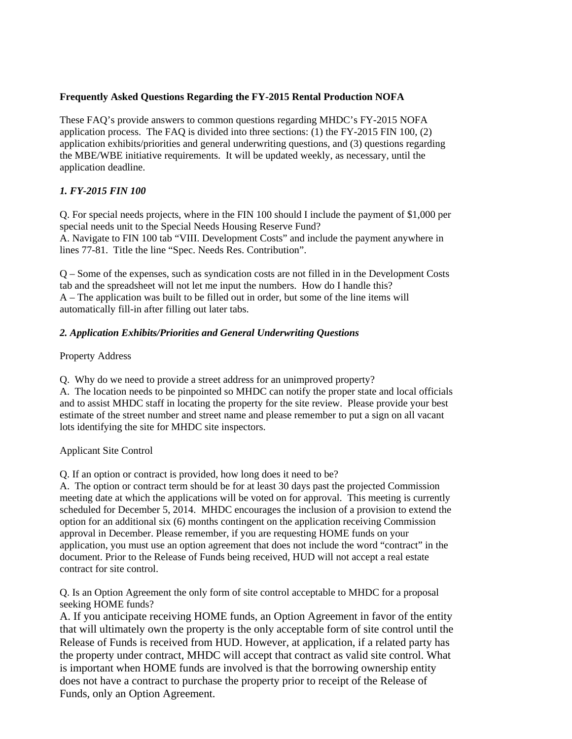## **Frequently Asked Questions Regarding the FY-2015 Rental Production NOFA**

These FAQ's provide answers to common questions regarding MHDC's FY-2015 NOFA application process. The FAQ is divided into three sections: (1) the FY-2015 FIN 100, (2) application exhibits/priorities and general underwriting questions, and (3) questions regarding the MBE/WBE initiative requirements. It will be updated weekly, as necessary, until the application deadline.

# *1. FY-2015 FIN 100*

Q. For special needs projects, where in the FIN 100 should I include the payment of \$1,000 per special needs unit to the Special Needs Housing Reserve Fund? A. Navigate to FIN 100 tab "VIII. Development Costs" and include the payment anywhere in lines 77-81. Title the line "Spec. Needs Res. Contribution".

Q – Some of the expenses, such as syndication costs are not filled in in the Development Costs tab and the spreadsheet will not let me input the numbers. How do I handle this? A – The application was built to be filled out in order, but some of the line items will automatically fill-in after filling out later tabs.

# *2. Application Exhibits/Priorities and General Underwriting Questions*

Property Address

Q. Why do we need to provide a street address for an unimproved property? A. The location needs to be pinpointed so MHDC can notify the proper state and local officials and to assist MHDC staff in locating the property for the site review. Please provide your best estimate of the street number and street name and please remember to put a sign on all vacant

Applicant Site Control

Q. If an option or contract is provided, how long does it need to be?

lots identifying the site for MHDC site inspectors.

A. The option or contract term should be for at least 30 days past the projected Commission meeting date at which the applications will be voted on for approval. This meeting is currently scheduled for December 5, 2014. MHDC encourages the inclusion of a provision to extend the option for an additional six (6) months contingent on the application receiving Commission approval in December. Please remember, if you are requesting HOME funds on your application, you must use an option agreement that does not include the word "contract" in the document. Prior to the Release of Funds being received, HUD will not accept a real estate contract for site control.

Q. Is an Option Agreement the only form of site control acceptable to MHDC for a proposal seeking HOME funds?

A. If you anticipate receiving HOME funds, an Option Agreement in favor of the entity that will ultimately own the property is the only acceptable form of site control until the Release of Funds is received from HUD. However, at application, if a related party has the property under contract, MHDC will accept that contract as valid site control. What is important when HOME funds are involved is that the borrowing ownership entity does not have a contract to purchase the property prior to receipt of the Release of Funds, only an Option Agreement.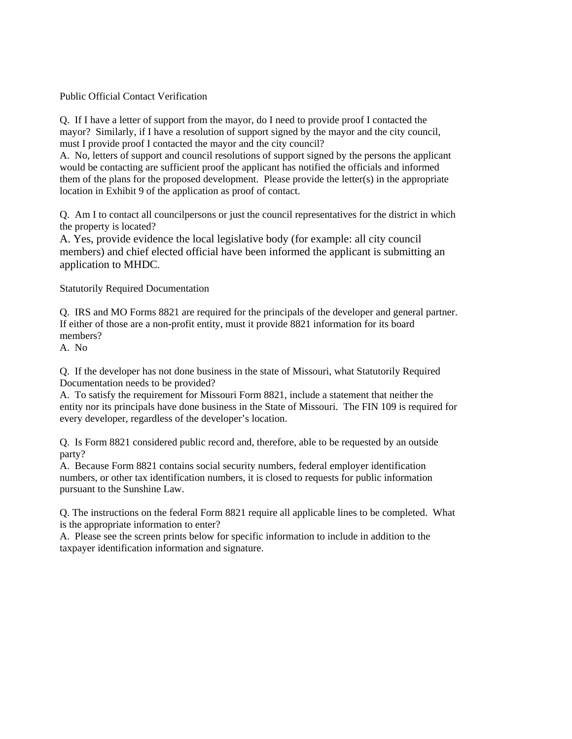Public Official Contact Verification

Q. If I have a letter of support from the mayor, do I need to provide proof I contacted the mayor? Similarly, if I have a resolution of support signed by the mayor and the city council, must I provide proof I contacted the mayor and the city council?

A. No, letters of support and council resolutions of support signed by the persons the applicant would be contacting are sufficient proof the applicant has notified the officials and informed them of the plans for the proposed development. Please provide the letter(s) in the appropriate location in Exhibit 9 of the application as proof of contact.

Q. Am I to contact all councilpersons or just the council representatives for the district in which the property is located?

A. Yes, provide evidence the local legislative body (for example: all city council members) and chief elected official have been informed the applicant is submitting an application to MHDC.

Statutorily Required Documentation

Q. IRS and MO Forms 8821 are required for the principals of the developer and general partner. If either of those are a non-profit entity, must it provide 8821 information for its board members?

A. No

Q. If the developer has not done business in the state of Missouri, what Statutorily Required Documentation needs to be provided?

A. To satisfy the requirement for Missouri Form 8821, include a statement that neither the entity nor its principals have done business in the State of Missouri. The FIN 109 is required for every developer, regardless of the developer's location.

Q. Is Form 8821 considered public record and, therefore, able to be requested by an outside party?

A. Because Form 8821 contains social security numbers, federal employer identification numbers, or other tax identification numbers, it is closed to requests for public information pursuant to the Sunshine Law.

Q. The instructions on the federal Form 8821 require all applicable lines to be completed. What is the appropriate information to enter?

A. Please see the screen prints below for specific information to include in addition to the taxpayer identification information and signature.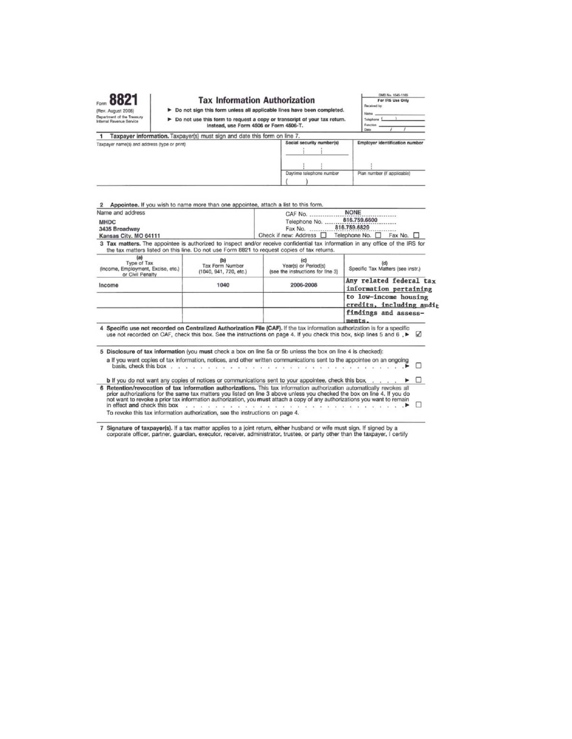|                                                                              |                                                                                                              | <b>Tax Information Authorization</b>                                                                                                                                                                                             |                                                                          | OMB No. 1545-1165<br>For IRS Use Only                                                                                                                                                                                                                                                                                                                                                |  |
|------------------------------------------------------------------------------|--------------------------------------------------------------------------------------------------------------|----------------------------------------------------------------------------------------------------------------------------------------------------------------------------------------------------------------------------------|--------------------------------------------------------------------------|--------------------------------------------------------------------------------------------------------------------------------------------------------------------------------------------------------------------------------------------------------------------------------------------------------------------------------------------------------------------------------------|--|
| (Rev. August 2008)                                                           |                                                                                                              |                                                                                                                                                                                                                                  | > Do not sign this form unless all applicable lines have been completed. | Received by                                                                                                                                                                                                                                                                                                                                                                          |  |
| Department of the Treasury                                                   |                                                                                                              |                                                                                                                                                                                                                                  |                                                                          | Name<br>Telephone                                                                                                                                                                                                                                                                                                                                                                    |  |
| Internal Revenue Service                                                     |                                                                                                              | Do not use this form to request a copy or transcript of your tax return.<br>Instead, use Form 4506 or Form 4506-T.                                                                                                               |                                                                          | Function                                                                                                                                                                                                                                                                                                                                                                             |  |
|                                                                              |                                                                                                              |                                                                                                                                                                                                                                  |                                                                          | Date                                                                                                                                                                                                                                                                                                                                                                                 |  |
|                                                                              | Taxpayer information. Taxpayer(s) must sign and date this form on line 7.                                    |                                                                                                                                                                                                                                  |                                                                          |                                                                                                                                                                                                                                                                                                                                                                                      |  |
| Taxpaver name(s) and address (type or print)                                 |                                                                                                              | Social security number(s)                                                                                                                                                                                                        | <b>Employer identification number</b>                                    |                                                                                                                                                                                                                                                                                                                                                                                      |  |
|                                                                              |                                                                                                              |                                                                                                                                                                                                                                  |                                                                          |                                                                                                                                                                                                                                                                                                                                                                                      |  |
|                                                                              |                                                                                                              | Daytime telephone number                                                                                                                                                                                                         | Plan number (if applicable)                                              |                                                                                                                                                                                                                                                                                                                                                                                      |  |
|                                                                              |                                                                                                              |                                                                                                                                                                                                                                  |                                                                          |                                                                                                                                                                                                                                                                                                                                                                                      |  |
| Name and address<br><b>MHDC</b><br>3435 Broadway<br>Kansas City, MO 64111    |                                                                                                              | Appointee. If you wish to name more than one appointee, attach a list to this form.<br><b>NONE</b><br>CAF No.<br>816,759,6600<br>Telephone No.<br>816.759.6829<br>Fax No.<br>Check if new: Address □<br>Telephone No.<br>Fax No. |                                                                          |                                                                                                                                                                                                                                                                                                                                                                                      |  |
|                                                                              | the tax matters listed on this line. Do not use Form 8821 to request copies of tax returns.                  |                                                                                                                                                                                                                                  |                                                                          | 3 Tax matters. The appointee is authorized to inspect and/or receive confidential tax information in any office of the IRS for                                                                                                                                                                                                                                                       |  |
| (a)<br>Type of Tax<br>(Income, Employment, Excise, etc.)<br>or Civil Penalty | (b)<br>Tax Form Number<br>(1040, 941, 720, etc.)                                                             |                                                                                                                                                                                                                                  | (c)<br>Year(s) or Period(s)<br>(see the instructions for line 3)         | (d)<br>Specific Tax Matters (see instr.)                                                                                                                                                                                                                                                                                                                                             |  |
| Income                                                                       | 1040                                                                                                         |                                                                                                                                                                                                                                  | 2006-2008                                                                | Any related federal tax<br>information pertaining                                                                                                                                                                                                                                                                                                                                    |  |
|                                                                              |                                                                                                              |                                                                                                                                                                                                                                  |                                                                          | to low-income housing<br>credits, including audit                                                                                                                                                                                                                                                                                                                                    |  |
|                                                                              |                                                                                                              |                                                                                                                                                                                                                                  |                                                                          | findings and assess-<br>ments.                                                                                                                                                                                                                                                                                                                                                       |  |
|                                                                              |                                                                                                              |                                                                                                                                                                                                                                  |                                                                          | 4 Specific use not recorded on Centralized Authorization File (CAF). If the tax information authorization is for a specific<br>use not recorded on CAF, check this box. See the instructions on page 4. If you check this box, skip lines 5 and 6. ▶ ○                                                                                                                               |  |
|                                                                              | 5 Disclosure of tax information (you must check a box on line 5a or 5b unless the box on line 4 is checked): |                                                                                                                                                                                                                                  |                                                                          | a If you want copies of tax information, notices, and other written communications sent to the appointee on an ongoing                                                                                                                                                                                                                                                               |  |
| basis, check this box                                                        |                                                                                                              |                                                                                                                                                                                                                                  |                                                                          |                                                                                                                                                                                                                                                                                                                                                                                      |  |
| in effect and check this box                                                 | <b>b</b> If you do not want any copies of notices or communications sent to your appointee, check this box   |                                                                                                                                                                                                                                  |                                                                          | 6 Retention/revocation of tax information authorizations. This tax information authorization automatically revokes all<br>prior authorizations for the same tax matters you listed on line 3 above unless you checked the box on line 4. If you do<br>not want to revoke a prior tax information authorization, you must attach a copy of any authorizations you want to remain<br>п |  |
|                                                                              | To revoke this tax information authorization, see the instructions on page 4.                                |                                                                                                                                                                                                                                  |                                                                          |                                                                                                                                                                                                                                                                                                                                                                                      |  |

7 Signature of taxpayer(s). If a tax matter applies to a joint return, either husband or wife must sign. If signed by a corporate officer, partner, guardian, executor, receiver, administrator, trustee, or party other than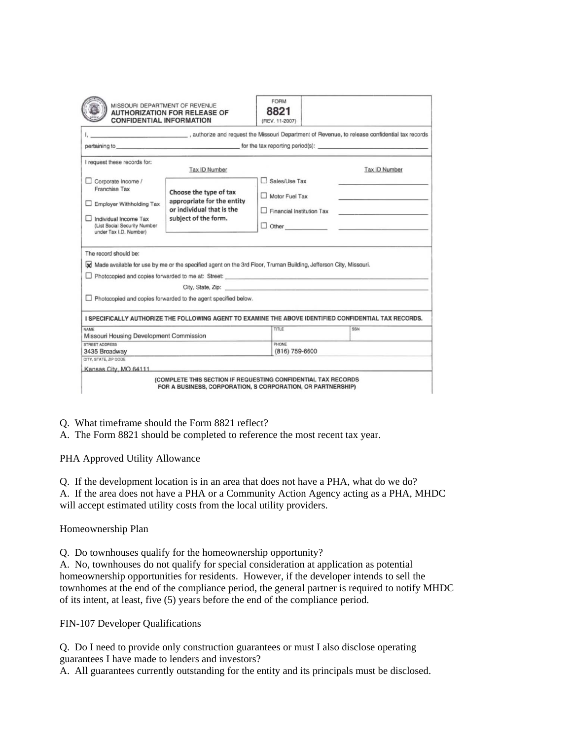|                                                                                           | <b>CONFIDENTIAL INFORMATION</b>                                                                                  | (REV. 11-2007)                                                                                                                                                                                                                |               |
|-------------------------------------------------------------------------------------------|------------------------------------------------------------------------------------------------------------------|-------------------------------------------------------------------------------------------------------------------------------------------------------------------------------------------------------------------------------|---------------|
|                                                                                           | authorize and request the Missouri Department of Revenue, to release confidential tax records                    |                                                                                                                                                                                                                               |               |
|                                                                                           | pertaining to pertaining to the same of the tax reporting period(s):                                             |                                                                                                                                                                                                                               |               |
| I request these records for:                                                              | Tax ID Number                                                                                                    |                                                                                                                                                                                                                               | Tax ID Number |
| Corporate Income /<br>Franchise Tax                                                       | Choose the type of tax                                                                                           | Sales/Use Tax                                                                                                                                                                                                                 |               |
| <b>Employer Withholding Tax</b>                                                           | appropriate for the entity<br>or individual that is the                                                          | Motor Fuel Tax<br>Financial Institution Tax                                                                                                                                                                                   |               |
| Individual Income Tax<br>(List Social Security Number<br>under Tax I.D. Number)           | subject of the form.                                                                                             |                                                                                                                                                                                                                               |               |
|                                                                                           | Made available for use by me or the specified agent on the 3rd Floor, Truman Building, Jefferson City, Missouri. |                                                                                                                                                                                                                               |               |
|                                                                                           |                                                                                                                  |                                                                                                                                                                                                                               |               |
|                                                                                           | Photocopied and copies forwarded to the agent specified below.                                                   | City, State, Zip: etc. and the state of the state of the state of the state of the state of the state of the state of the state of the state of the state of the state of the state of the state of the state of the state of |               |
|                                                                                           | I SPECIFICALLY AUTHORIZE THE FOLLOWING AGENT TO EXAMINE THE ABOVE IDENTIFIED CONFIDENTIAL TAX RECORDS.           |                                                                                                                                                                                                                               |               |
|                                                                                           |                                                                                                                  | TITLE                                                                                                                                                                                                                         | SSN           |
| <b>NAME</b><br>Missouri Housing Development Commission<br>STREET ADDRESS<br>3435 Broadway |                                                                                                                  | PHONE<br>(816) 759-6600                                                                                                                                                                                                       |               |

Q. What timeframe should the Form 8821 reflect?

A. The Form 8821 should be completed to reference the most recent tax year.

PHA Approved Utility Allowance

Q. If the development location is in an area that does not have a PHA, what do we do? A. If the area does not have a PHA or a Community Action Agency acting as a PHA, MHDC will accept estimated utility costs from the local utility providers.

Homeownership Plan

Q. Do townhouses qualify for the homeownership opportunity?

A. No, townhouses do not qualify for special consideration at application as potential homeownership opportunities for residents. However, if the developer intends to sell the townhomes at the end of the compliance period, the general partner is required to notify MHDC of its intent, at least, five (5) years before the end of the compliance period.

FIN-107 Developer Qualifications

Q. Do I need to provide only construction guarantees or must I also disclose operating guarantees I have made to lenders and investors?

A. All guarantees currently outstanding for the entity and its principals must be disclosed.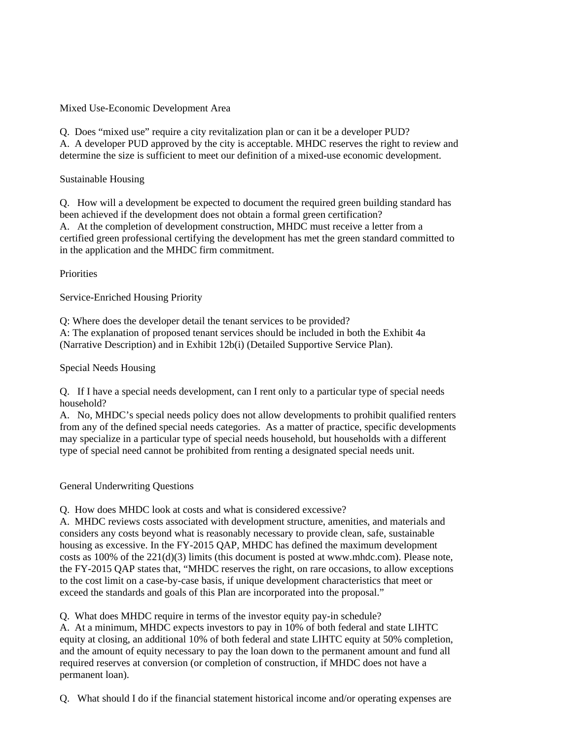Mixed Use-Economic Development Area

Q. Does "mixed use" require a city revitalization plan or can it be a developer PUD? A. A developer PUD approved by the city is acceptable. MHDC reserves the right to review and determine the size is sufficient to meet our definition of a mixed-use economic development.

# Sustainable Housing

Q. How will a development be expected to document the required green building standard has been achieved if the development does not obtain a formal green certification? A. At the completion of development construction, MHDC must receive a letter from a certified green professional certifying the development has met the green standard committed to in the application and the MHDC firm commitment.

# **Priorities**

Service-Enriched Housing Priority

Q: Where does the developer detail the tenant services to be provided?

A: The explanation of proposed tenant services should be included in both the Exhibit 4a (Narrative Description) and in Exhibit 12b(i) (Detailed Supportive Service Plan).

Special Needs Housing

Q. If I have a special needs development, can I rent only to a particular type of special needs household?

A. No, MHDC's special needs policy does not allow developments to prohibit qualified renters from any of the defined special needs categories. As a matter of practice, specific developments may specialize in a particular type of special needs household, but households with a different type of special need cannot be prohibited from renting a designated special needs unit.

## General Underwriting Questions

Q. How does MHDC look at costs and what is considered excessive?

A. MHDC reviews costs associated with development structure, amenities, and materials and considers any costs beyond what is reasonably necessary to provide clean, safe, sustainable housing as excessive. In the FY-2015 QAP, MHDC has defined the maximum development costs as  $100\%$  of the  $221(d)(3)$  limits (this document is posted at www.mhdc.com). Please note, the FY-2015 QAP states that, "MHDC reserves the right, on rare occasions, to allow exceptions to the cost limit on a case-by-case basis, if unique development characteristics that meet or exceed the standards and goals of this Plan are incorporated into the proposal."

Q. What does MHDC require in terms of the investor equity pay-in schedule?

A. At a minimum, MHDC expects investors to pay in 10% of both federal and state LIHTC equity at closing, an additional 10% of both federal and state LIHTC equity at 50% completion, and the amount of equity necessary to pay the loan down to the permanent amount and fund all required reserves at conversion (or completion of construction, if MHDC does not have a permanent loan).

Q. What should I do if the financial statement historical income and/or operating expenses are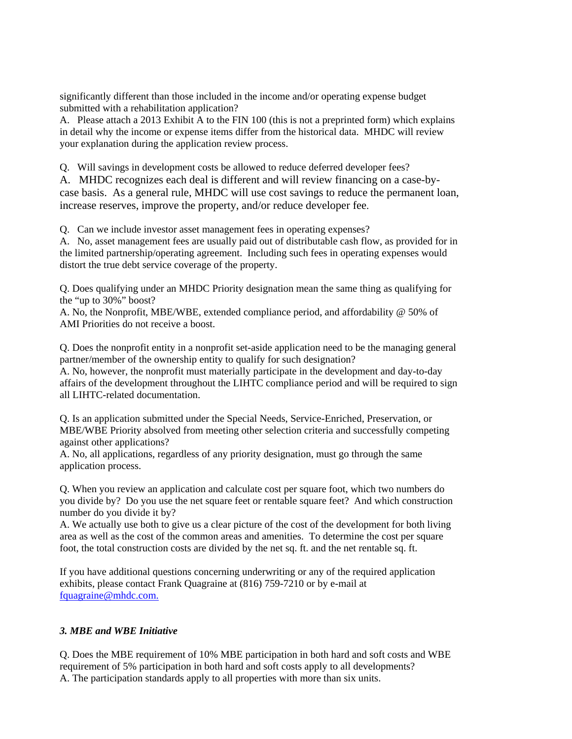significantly different than those included in the income and/or operating expense budget submitted with a rehabilitation application?

A. Please attach a 2013 Exhibit A to the FIN 100 (this is not a preprinted form) which explains in detail why the income or expense items differ from the historical data. MHDC will review your explanation during the application review process.

Q. Will savings in development costs be allowed to reduce deferred developer fees?

A. MHDC recognizes each deal is different and will review financing on a case-bycase basis. As a general rule, MHDC will use cost savings to reduce the permanent loan, increase reserves, improve the property, and/or reduce developer fee.

Q. Can we include investor asset management fees in operating expenses?

A. No, asset management fees are usually paid out of distributable cash flow, as provided for in the limited partnership/operating agreement. Including such fees in operating expenses would distort the true debt service coverage of the property.

Q. Does qualifying under an MHDC Priority designation mean the same thing as qualifying for the "up to 30%" boost?

A. No, the Nonprofit, MBE/WBE, extended compliance period, and affordability @ 50% of AMI Priorities do not receive a boost.

Q. Does the nonprofit entity in a nonprofit set-aside application need to be the managing general partner/member of the ownership entity to qualify for such designation?

A. No, however, the nonprofit must materially participate in the development and day-to-day affairs of the development throughout the LIHTC compliance period and will be required to sign all LIHTC-related documentation.

Q. Is an application submitted under the Special Needs, Service-Enriched, Preservation, or MBE/WBE Priority absolved from meeting other selection criteria and successfully competing against other applications?

A. No, all applications, regardless of any priority designation, must go through the same application process.

Q. When you review an application and calculate cost per square foot, which two numbers do you divide by? Do you use the net square feet or rentable square feet? And which construction number do you divide it by?

A. We actually use both to give us a clear picture of the cost of the development for both living area as well as the cost of the common areas and amenities. To determine the cost per square foot, the total construction costs are divided by the net sq. ft. and the net rentable sq. ft.

If you have additional questions concerning underwriting or any of the required application exhibits, please contact Frank Quagraine at (816) 759-7210 or by e-mail at fquagraine@mhdc.com.

## *3. MBE and WBE Initiative*

Q. Does the MBE requirement of 10% MBE participation in both hard and soft costs and WBE requirement of 5% participation in both hard and soft costs apply to all developments? A. The participation standards apply to all properties with more than six units.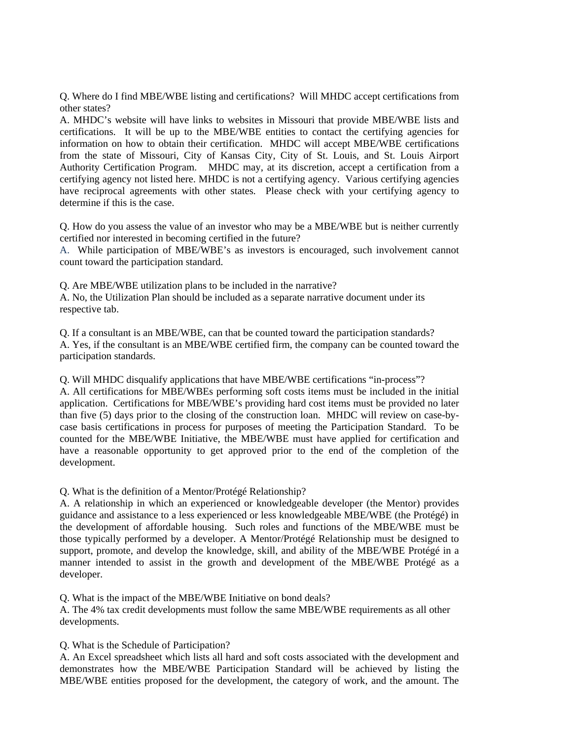Q. Where do I find MBE/WBE listing and certifications? Will MHDC accept certifications from other states?

A. MHDC's website will have links to websites in Missouri that provide MBE/WBE lists and certifications. It will be up to the MBE/WBE entities to contact the certifying agencies for information on how to obtain their certification. MHDC will accept MBE/WBE certifications from the state of Missouri, City of Kansas City, City of St. Louis, and St. Louis Airport Authority Certification Program. MHDC may, at its discretion, accept a certification from a certifying agency not listed here. MHDC is not a certifying agency. Various certifying agencies have reciprocal agreements with other states. Please check with your certifying agency to determine if this is the case.

Q. How do you assess the value of an investor who may be a MBE/WBE but is neither currently certified nor interested in becoming certified in the future?

A. While participation of MBE/WBE's as investors is encouraged, such involvement cannot count toward the participation standard.

Q. Are MBE/WBE utilization plans to be included in the narrative?

A. No, the Utilization Plan should be included as a separate narrative document under its respective tab.

Q. If a consultant is an MBE/WBE, can that be counted toward the participation standards? A. Yes, if the consultant is an MBE/WBE certified firm, the company can be counted toward the participation standards.

Q. Will MHDC disqualify applications that have MBE/WBE certifications "in-process"?

A. All certifications for MBE/WBEs performing soft costs items must be included in the initial application. Certifications for MBE/WBE's providing hard cost items must be provided no later than five (5) days prior to the closing of the construction loan. MHDC will review on case-bycase basis certifications in process for purposes of meeting the Participation Standard. To be counted for the MBE/WBE Initiative, the MBE/WBE must have applied for certification and have a reasonable opportunity to get approved prior to the end of the completion of the development.

Q. What is the definition of a Mentor/Protégé Relationship?

A. A relationship in which an experienced or knowledgeable developer (the Mentor) provides guidance and assistance to a less experienced or less knowledgeable MBE/WBE (the Protégé) in the development of affordable housing. Such roles and functions of the MBE/WBE must be those typically performed by a developer. A Mentor/Protégé Relationship must be designed to support, promote, and develop the knowledge, skill, and ability of the MBE/WBE Protégé in a manner intended to assist in the growth and development of the MBE/WBE Protégé as a developer.

Q. What is the impact of the MBE/WBE Initiative on bond deals?

A. The 4% tax credit developments must follow the same MBE/WBE requirements as all other developments.

Q. What is the Schedule of Participation?

A. An Excel spreadsheet which lists all hard and soft costs associated with the development and demonstrates how the MBE/WBE Participation Standard will be achieved by listing the MBE/WBE entities proposed for the development, the category of work, and the amount. The